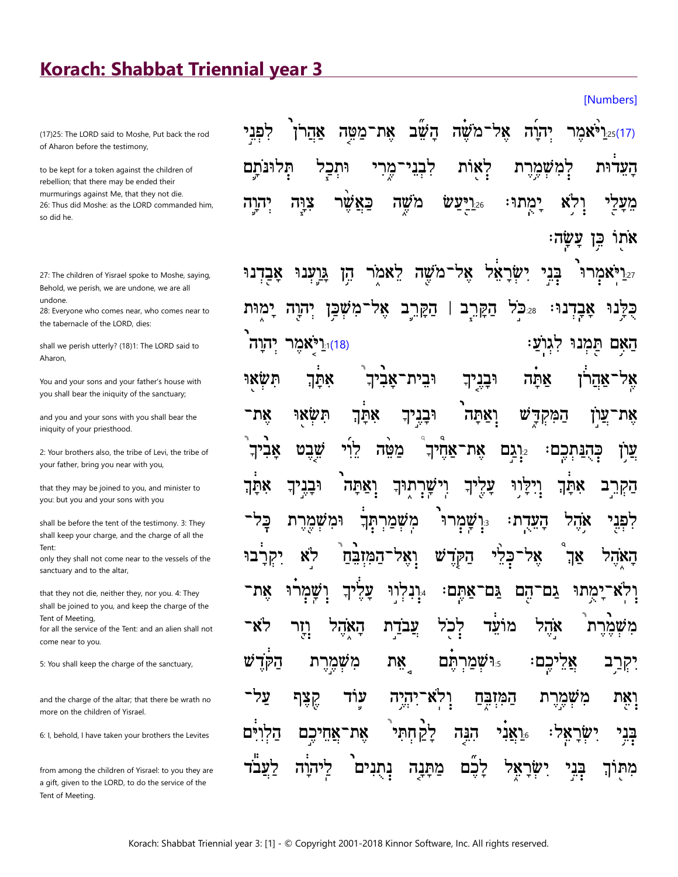## Korach: Shabbat Triennial year 3

(17)25: The LORD said to Moshe, Put back the rod of Aharon before the testimony,

to be kept for a token against the children of rebellion; that there may be ended their murmurings against Me, that they not die. 26: Thus did Moshe: as the LORD commanded him, so did he.

27: The children of Yisrael spoke to Moshe, saying, Behold, we perish, we are undone, we are all undone.

28: Everyone who comes near, who comes near to the tabernacle of the LORD, dies:

shall we perish utterly? (18)1: The LORD said to Aharon.

You and your sons and your father's house with you shall bear the iniquity of the sanctuary;

and you and your sons with you shall bear the iniquity of your priesthood.

2: Your brothers also, the tribe of Levi, the tribe of your father, bring you near with you,

that they may be joined to you, and minister to you: but you and your sons with you

shall be before the tent of the testimony. 3: They shall keep your charge, and the charge of all the Tent<sup>-</sup>

only they shall not come near to the vessels of the sanctuary and to the altar,

that they not die, neither they, nor you. 4: They shall be joined to you, and keep the charge of the Tent of Meeting,

for all the service of the Tent: and an alien shall not come near to you.

5: You shall keep the charge of the sanctuary,

and the charge of the altar; that there be wrath no more on the children of Yisrael.

6: I, behold, I have taken your brothers the Levites

from among the children of Yisrael: to you they are a gift, given to the LORD, to do the service of the Tent of Meeting.

`משה אל־ אהרן את־מטה השׁב לפני יהוה ו?ו:**\\*\**3:נ" לאות העדוּת לָבָ רמשמרת תלונתם וּתכ מֲרָ כאשר משה פויעש:26 יהוה צוּה ימתוּ מֲעַי בֵן<br>≔ אתו ע' שה

**[Numbers]** 

בְּנִי אֶל־מֹשֶׁה יִשְׂרַאֵל יאמרו לאמר אבדנוּ <u>גּוענוּ</u> הן הַקַּרֵב 25:28 אבדנוּ: 78 הַקַּרֵב ימוּת יהוה <u>וּוֹ</u>יאמֵר).[ יהוה המנו האם תשאי אתך וּבית־אביד וּבניך אתה אהרן תשאי וּבְנִיך הַמִּקְדָּשׁ אתּךְ את<sup>.</sup> ואתה ערן את שׁבט לוי מטה את־אחיך עַון אביד י**ַרְגַם** כהנתכם: אתך וּבניך ואתה שֲרָתוּךְ יי עַלִיך וְיִקַווּ אתך הַקְרֵ מִשְׁמַרִתְּךָ כל וּמִשְׁמֵרֶת שמרו העדת:  $\mathbf{P}_{3}$ אהל לפני הַקְרֵשׁ כלי לא יִקְרַבוּ המובח ואל אל אַך האהל ו**ְיִנְלְווּ** גם־ גם־הם ימתוּ את־ שמרו עליך ֿאתם: **יִי**ָר לא־ אהל האהל עבדת לכל מועד משמרת הקדש וּ**וֹשָׁמַרְתֵּם** משמרת אֵלֵיכֵם ກx יִקְרַב **יְאֵת** <u>הַמְזְבְח</u> על־ קצף עוד יהיה ולא` מִשְמֵרֵת הלו לקחתי בְּנְי הנה <u>יַראַני $\mathbf{M}_{16}$ </u> : אַל ישר <u>אַחִיכִם</u> את נתנים מתנה לכם ישׂר מתוך דעבד הוה 78 בני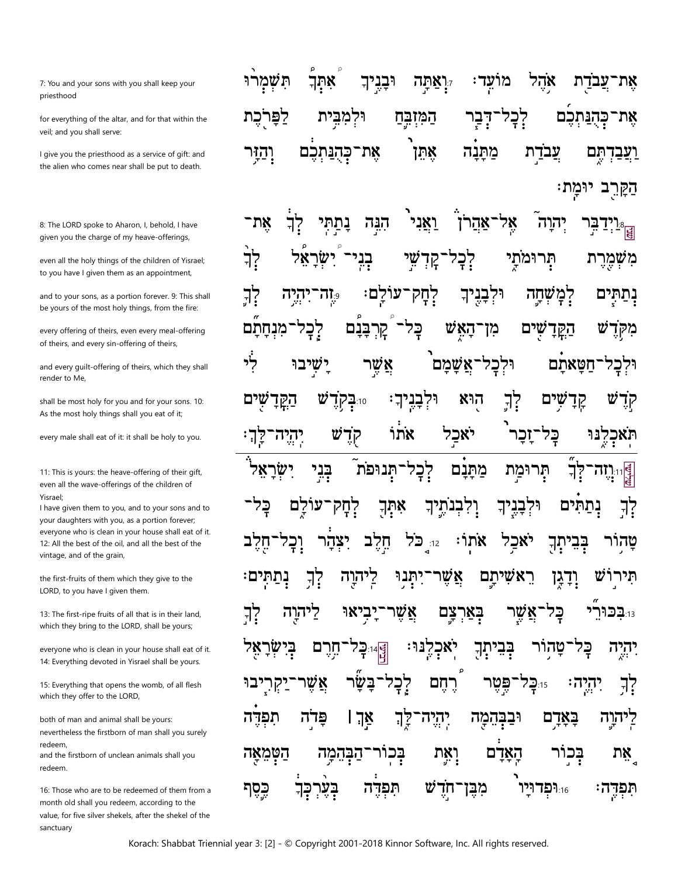7: You and your sons with you shall keep your priesthood

for everything of the altar, and for that within the veil; and you shall serve:

I give you the priesthood as a service of gift: and the alien who comes near shall be put to death.

8: The LORD spoke to Aharon, I, behold, I have given you the charge of my heave-offerings,

even all the holy things of the children of Yisrael; to you have I given them as an appointment,

and to your sons, as a portion forever. 9: This shall be yours of the most holy things, from the fire:

every offering of theirs, even every meal-offering of theirs, and every sin-offering of theirs,

and every guilt-offering of theirs, which they shall render to Me,

shall be most holy for you and for your sons. 10: As the most holy things shall you eat of it;

every male shall eat of it: it shall be holy to you.

11: This is yours: the heave-offering of their gift, even all the wave-offerings of the children of Yisrael;

I have given them to you, and to your sons and to your daughters with you, as a portion forever; everyone who is clean in your house shall eat of it. 12: All the best of the oil, and all the best of the vintage, and of the grain,

the first-fruits of them which they give to the LORD, to you have I given them.

13: The first-ripe fruits of all that is in their land, which they bring to the LORD, shall be yours;

everyone who is clean in your house shall eat of it. 14: Everything devoted in Yisrael shall be yours.

15: Everything that opens the womb, of all flesh which they offer to the LORD,

both of man and animal shall be yours: nevertheless the firstborn of man shall you surely redeem,

and the firstborn of unclean animals shall you redeem.

16: Those who are to be redeemed of them from a month old shall you redeem, according to the value, for five silver shekels, after the shekel of the sanctuary

יִיְאַתָּה אהֵל ׀יִבְנֶיך תשמרו אִתְךְ מועד: אֵת־עֲבדַת לְבָל אָׁת־כָּהָנַּתִּכָם לפרכת וּלִמְבֵית הַמְּזִבֵּהַ *אֶׁ*ת־כָּהֻנַּתְכָם אתן עבדת יִהַזִּי מתנה <u>וַעֲבָדְהָם</u> הַקַּרֵב יוּמָת: וֵי<mark>ְי</mark>ִדַ<mark>בֵּ</mark>ר ואני אָת־ **אָל־אַהַרן** דֿעֿענ הְנֵה יהוה

לֲב ישר תְרוּמתַי בְנִי שי לִבְל משמרת קַד לְחָק־עוֹלֵם: יך<br>ז יּלְבְנֵיך נְתַתִּים לִמְשְׁחֲה הַיָּה  $\mathbb{Z}$ מנחתם קרבנם כָּלִ <u>דאש</u> שים מן הקד לי ישיבו אַשֵׁר וּלִכָל־אֲשָׁמָם חטאתם וּלְבַל וּלִבָּנִיךָ <u>לך</u> υ הוא 10∶בָקדֻ שים הַקֲדָ קַדַ ΪF יֹאכַל אתו Ŵ <u>ַזְכ</u>ַר בֶּלִ תאכלנוּ יְהִיָה־ קדֻ  $7$ יְכְל־תְּנוּפֹת ישׂר בְּנִי<br>י מַתַּנַם ∮וּו**יִוּה'**<br>צ תְּרוּמַת אִתְךָ לַם ֹלְחָק וִיִלְבְנֹתֵיךָ יִיִּבְנִיךְ נתתים 구? <sub>12:</sub> כל אתו חֵלֵב יאכל בָּבִיתָךְ תִּירוֹ אַשֵׁר נְהַחִּי F? הוַה רַי יִתְּנוּ ראשיתם <u>וְדְגְן</u> ש אַשֵׁר בְאַרִצָּם נבכורי<del>.</del> 7? <u>קיהוה</u> יַבִיאוּ שר פ2 **יְאַכְלֶנּוּ** בְּיִ חֶרֶם  $:14$ יתך בְּבִי יהיה אֲשֶׁר <u>ַבַּש</u>ׂר לְבְל רֻחֲם פּּטֵר 15.קל ַיִהְיֶה 구? תפדה פרה אַךְ ו יהיה. וּבַבְּהֵמַה באדם <u>יהוה</u> 77 וְאֶת בְּכוֹר הַטְּמֵאָה אָת <u>ַיהַבְּהֵמָה</u> הַאַרַם בכור ש 10.16 כֶּסֶף תפדה ַחְדֻ מְבֶּן תִּפְדֶה ᇃ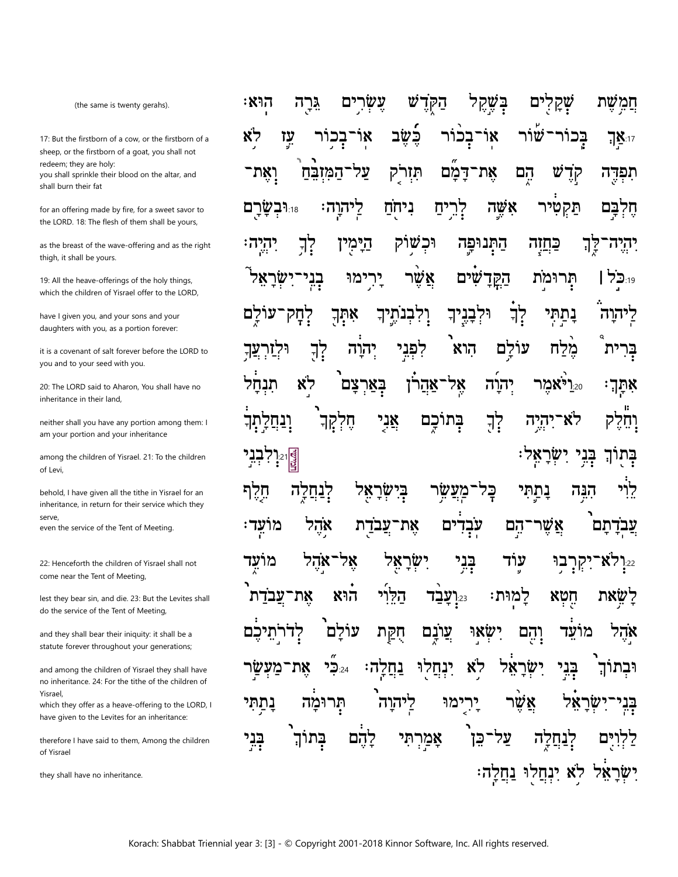(the same is twenty gerahs).

17: But the firstborn of a cow, or the firstborn of a sheep, or the firstborn of a goat, you shall not redeem; they are holy: you shall sprinkle their blood on the altar, and shall burn their fat

for an offering made by fire, for a sweet savor to the LORD. 18: The flesh of them shall be yours,

as the breast of the wave-offering and as the right thigh, it shall be yours.

19: All the heave-offerings of the holy things, which the children of Yisrael offer to the LORD,

have I given you, and your sons and your daughters with you, as a portion forever:

it is a covenant of salt forever before the LORD to you and to your seed with you.

20: The LORD said to Aharon. You shall have no inheritance in their land

neither shall you have any portion among them: I am your portion and your inheritance

among the children of Yisrael. 21: To the children of Levi,

behold, I have given all the tithe in Yisrael for an inheritance, in return for their service which they serve.

even the service of the Tent of Meeting.

22: Henceforth the children of Yisrael shall not come near the Tent of Meeting,

lest they bear sin, and die. 23: But the Levites shall do the service of the Tent of Meeting,

and they shall bear their iniquity: it shall be a statute forever throughout your generations;

and among the children of Yisrael they shall have no inheritance. 24: For the tithe of the children of Yisrael

which they offer as a heave-offering to the LORD, I have given to the Levites for an inheritance:

therefore I have said to them, Among the children of Yisrael

they shall have no inheritance.

הַקּדש חֲמֵשׁת ፡ እንገ גֵּרַה עֵשָׂרִים בִּשֶּׁקֵל ים שק עֵז לא כשב ٦κ ֿשׁור בָּכוֹר ٦Χ בכור ־בכור <sup>17</sup>∐⊺ על־המזבח את־דמם קְדָ וַאֲת־ תִּזִרק הם ש תפדה תַּקִטְיר לריח אשה וּ**ִיּבְשַׁרַם** ליהוה: ניחח חלבם וכשוק הַיַּמִין התנופה יך<br>? 7? כחזה יהיה יַרִימוּ אַשֵׁר הקד <sub>19:19</sub> | שר שים תרומת בני<sup>.</sup> וּלִבָּנִיך לֲב אִתְךְ וִיִּבְנֹתֵיךָ נתתי ליהוה ּרְחַק עוֹלם וּלְזַר לְךָ הוא יהוה לִפְנִי מלח ית בר אל־אַהַרֹן לא בארצם יהוה 20.ולאמר תנחל אתך מַלִקְךָ אֲנִי בתוכם יְךָ לא־יהיה וִנְחַלַתְךָ וחלק ּבָּנִי יִשְׂרָאָל <u>קולב</u><br>פוני בָּתוּךְ בישראל נתתי הנה חַרֵף לִנְחֵלַה כַּל מעשו אהל אַשֵׁר ים עבד הם מועד: עבדת ֿ את עבדתם בְּנִי אהל אל־ ישׂר עוׄד מועד 78 בו ַיקר 'X7 **7**:22 הוא את־עבדת הלוי למוּת: 22ינבד: חטא שאת עולם עונם יִשְׂאוּ והם לדר הִקַּת מועד אהל לֹא יש ינחלו אל 2<u>3.24</u> נחלה: את־מעּ בני וּבתו ליהוה תרומה ימו לך נתתי אשר אַמַרְתִּי על־ בְּנִי בתור להם כן ים יִשְׂרָאֵל לֹא יִנְחֲלוּ נַחֲלָה: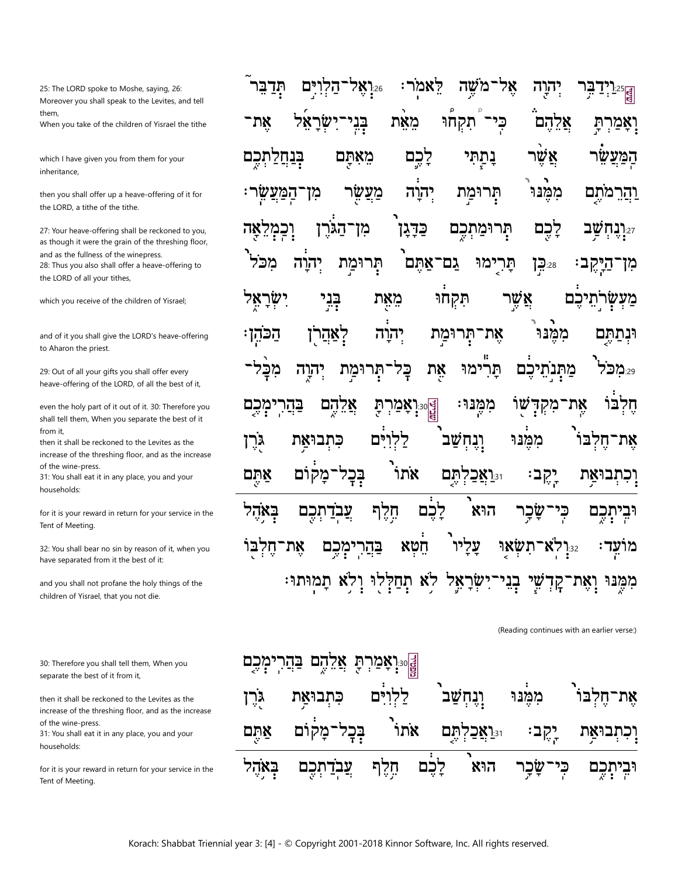25: The LORD spoke to Moshe, saying, 26: Moreover you shall speak to the Levites, and tell them, When you take of the children of Yisrael the tithe

which I have given you from them for your inheritance,

then you shall offer up a heave-offering of it for the LORD, a tithe of the tithe.

27: Your heave-offering shall be reckoned to you, as though it were the grain of the threshing floor, and as the fullness of the winepress. 28: Thus you also shall offer a heave-offering to the LORD of all your tithes,

which you receive of the children of Yisrael;

and of it you shall give the LORD's heave-offering to Aharon the priest.

29: Out of all your gifts you shall offer every heave-offering of the LORD, of all the best of it,

even the holy part of it out of it. 30: Therefore you shall tell them, When you separate the best of it from it,

then it shall be reckoned to the Levites as the increase of the threshing floor, and as the increase of the wine-press.

31: You shall eat it in any place, you and your households:

for it is your reward in return for your service in the Tent of Meeting.

32: You shall bear no sin by reason of it, when you have separated from it the best of it:

and you shall not profane the holy things of the children of Yisrael, that you not die.

30: Therefore you shall tell them, When you separate the best of it from it,

then it shall be reckoned to the Levites as the increase of the threshing floor, and as the increase of the wine-press.

31: You shall eat it in any place, you and your households:

for it is your reward in return for your service in the Tent of Meeting.

|  |  |  |  | <sub>हि</sub> التَّذَرِّدِ فَاللَّهُ جُدِيمَةٍ الْمَعْمَلِ الْمَجْمَعِينَ مِنْ مَقَالِمِينَ مِنْ مَقْبَلِينَ و          |  |
|--|--|--|--|-------------------------------------------------------------------------------------------------------------------------|--|
|  |  |  |  | וָאָמַרְתָּ אֲלֵהֶם כְּי <sup>ַ</sup> תִקְחוּ מֵאֵת בְּנִי־יִשְׂרָאֵל אֶת־                                              |  |
|  |  |  |  | <del>ַ</del> לְפֹּגֹ <del>ּ</del> צ <sup>ְ</sup> אֶל בָּתַ֣הִּי לָ $\check{\epsilon}$ ֶם מֵאָתֶּם בְּנַחֲלַתְכֶם        |  |
|  |  |  |  | <u>ו</u> ּהַרֵמֹתֶם מִמֶּנּוּ תְּרוּמַת יְהוָה מַצִּשָׂר מִן־הַמַּצַשְׂר:                                               |  |
|  |  |  |  | י <sup>ַ</sup> יָּנָהִשֲׁב לָכֶם תְּרוּמַתְכֶם כַּדָּגָן מִן־הַגֹּרֶן וְכִמְלֵאָה                                       |  |
|  |  |  |  | מִן־הַיְּקֶב: ﷺ תָּרִיָּמוּ גַם־אַתֶּם <sup>י</sup> תְּרוּמַת יְהוָה מִכֹּל <sup>י</sup>                                |  |
|  |  |  |  | מַעְשְׂרְֹתֵיכֶ <sup>ּ</sup> ם אֲשֶׁר תִּקְחוּ מֵאֶת בְּבֵי יִשְׂרָאֵל                                                  |  |
|  |  |  |  | וּנְתַתֶּם מִמֶּנּוּ אֶת־תְּרוּמַַת יְהוָה יְאַהַרֹן הַכֹּהְן                                                           |  |
|  |  |  |  | ْ َ وَالْمَالِيَّةِ وَالْمَرْجُوا ۖ فَإِيادَ مِنْ مَالِهِ وَالْمَالِيِّينَ وَالْمَرْسَ وَالْمَرْجَ                      |  |
|  |  |  |  | ۩ڋ؋ۭڔ<br>۩ڂڔ؋                                                                                                           |  |
|  |  |  |  | אֶת־חֶלְבּוֹ מִמֶּ֫נּוּ וְנֶחְשַׁב <sup>י</sup> לַלְוִיִּם כִּתְבוּאַ <sub>ָ</sub> ת גֻּרֶן                             |  |
|  |  |  |  | וָכִתְבוּאַ <i>ָּת יְ</i> קֶב: וּיֵיַאֲכַלְתֶּם אֹתוֹ בְּבְל־מָק <sup>ְוֹם</sup> אַתֶּם                                 |  |
|  |  |  |  | וּבִיתְכֶם כִּי־שָׂבָר הוּא <sup>י</sup> לָבֶם חֶלֶף <u>עֲבְד</u> ַתְכֶם בְּאָהֶל                                       |  |
|  |  |  |  | מוֹעְד <sup>ָ</sup> : <sub>ְ</sub> ፨יִלְא־תִשְׂא <sub>ָ</sub> וּ עָלִיו <sup>ַ</sup> חֵׂטְא בַּהֲרִימְכֶם אֶת־חֶלְבַּוֹ |  |
|  |  |  |  | מִמֶּנּוּ וְאֶת־קָדְשֵׁי בְנִי־יִשְׂרָאֵל לֹא תְחַלְלִוּ וְלֹא תִמְוּתוּ:                                               |  |

(Reading continues with an earlier verse:)

| <mark>∰</mark> ‰َנْאָׂםٓעֹנ <sup>וֹ</sup> עַ אָלֵהֵׁם <del>ב</del> ּׂנֵדֹ ٰ |  |  |                                                                                                         |  |  |  |  |  |  |  |  |
|-----------------------------------------------------------------------------|--|--|---------------------------------------------------------------------------------------------------------|--|--|--|--|--|--|--|--|
|                                                                             |  |  | אֶת־חֶלְבּו <sup>י</sup> מִמֶּ֫נּוּ וְנֶחְשַׁב <sup>י</sup> לַלְוָיִ <sup>ּ</sup> ּם כִּתְבוּאַת גֹּרֶן |  |  |  |  |  |  |  |  |
|                                                                             |  |  | וָכִתְבוּאַ <i>ְת יְ</i> קֶב: וּיֵוַאֲכַלְתֶּם אֹתוֹ בְּבְל־מָקוֹם אַתֶּם                               |  |  |  |  |  |  |  |  |
|                                                                             |  |  | וּבִיתְכֶם כְּי־שָׂכָר הוּא לָבֶם חֶלֶף עֲבְדַתְכֶם בְּאָהֶל                                            |  |  |  |  |  |  |  |  |